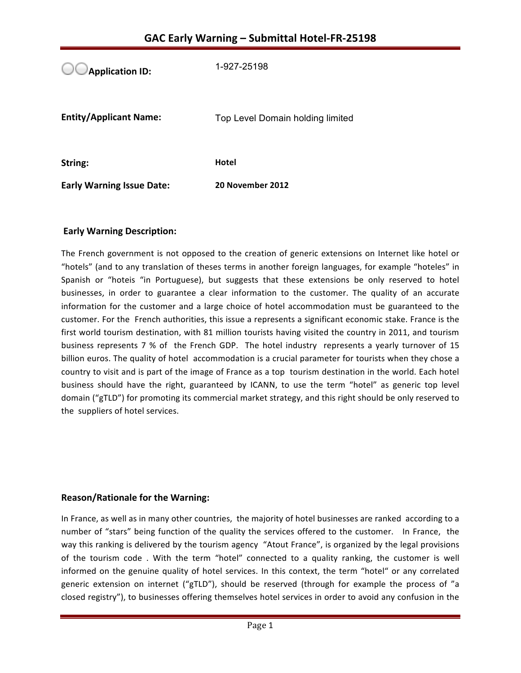**Application ID:** 1-927-25198 **Entity/Applicant Name:** Top Level Domain holding limited **String: Hotel Early Warning Issue Date:** 20 November 2012

# **Early Warning Description:**

The French government is not opposed to the creation of generic extensions on Internet like hotel or "hotels" (and to any translation of theses terms in another foreign languages, for example "hoteles" in Spanish or "hoteis "in Portuguese), but suggests that these extensions be only reserved to hotel businesses, in order to guarantee a clear information to the customer. The quality of an accurate information for the customer and a large choice of hotel accommodation must be guaranteed to the customer. For the French authorities, this issue a represents a significant economic stake. France is the first world tourism destination, with 81 million tourists having visited the country in 2011, and tourism business represents 7 % of the French GDP. The hotel industry represents a yearly turnover of 15 billion euros. The quality of hotel accommodation is a crucial parameter for tourists when they chose a country to visit and is part of the image of France as a top tourism destination in the world. Each hotel business should have the right, guaranteed by ICANN, to use the term "hotel" as generic top level domain ("gTLD") for promoting its commercial market strategy, and this right should be only reserved to the suppliers of hotel services.

### **Reason/Rationale for the Warning:**

In France, as well as in many other countries, the majority of hotel businesses are ranked according to a number of "stars" being function of the quality the services offered to the customer. In France, the way this ranking is delivered by the tourism agency "Atout France", is organized by the legal provisions of the tourism code. With the term "hotel" connected to a quality ranking, the customer is well informed on the genuine quality of hotel services. In this context, the term "hotel" or any correlated generic extension on internet ("gTLD"), should be reserved (through for example the process of "a closed registry"), to businesses offering themselves hotel services in order to avoid any confusion in the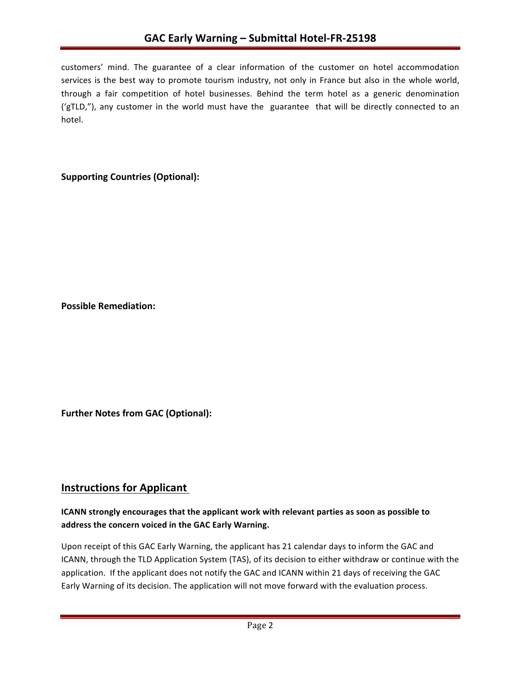customers' mind. The guarantee of a clear information of the customer on hotel accommodation services is the best way to promote tourism industry, not only in France but also in the whole world, through a fair competition of hotel businesses. Behind the term hotel as a generic denomination ('gTLD,"), any customer in the world must have the guarantee that will be directly connected to an hotel. 

# **Supporting Countries (Optional):**

**Possible Remediation:**

**Further Notes from GAC (Optional):** 

# **Instructions for Applicant**

# **ICANN** strongly encourages that the applicant work with relevant parties as soon as possible to address the concern voiced in the GAC Early Warning.

Upon receipt of this GAC Early Warning, the applicant has 21 calendar days to inform the GAC and ICANN, through the TLD Application System (TAS), of its decision to either withdraw or continue with the application. If the applicant does not notify the GAC and ICANN within 21 days of receiving the GAC Early Warning of its decision. The application will not move forward with the evaluation process.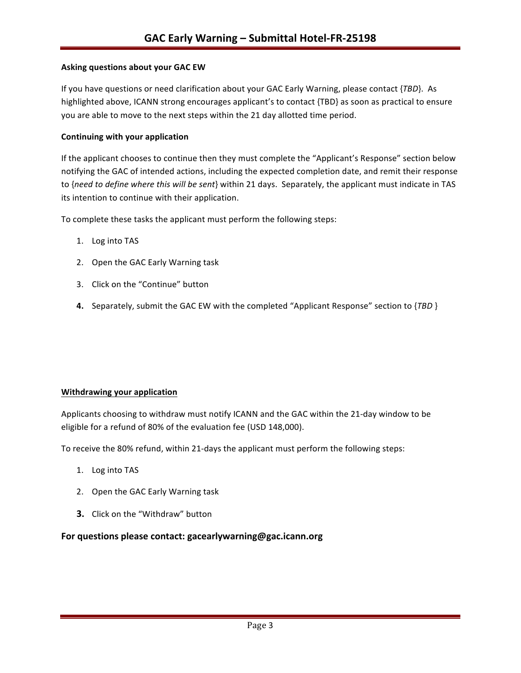#### **Asking questions about your GAC EW**

If you have questions or need clarification about your GAC Early Warning, please contact {*TBD*}. As highlighted above, ICANN strong encourages applicant's to contact {TBD} as soon as practical to ensure you are able to move to the next steps within the 21 day allotted time period.

#### **Continuing with your application**

If the applicant chooses to continue then they must complete the "Applicant's Response" section below notifying the GAC of intended actions, including the expected completion date, and remit their response to {need to define where this will be sent} within 21 days. Separately, the applicant must indicate in TAS its intention to continue with their application.

To complete these tasks the applicant must perform the following steps:

- 1. Log into TAS
- 2. Open the GAC Early Warning task
- 3. Click on the "Continue" button
- **4.** Separately, submit the GAC EW with the completed "Applicant Response" section to {*TBD* }

#### **Withdrawing your application**

Applicants choosing to withdraw must notify ICANN and the GAC within the 21-day window to be eligible for a refund of 80% of the evaluation fee (USD 148,000).

To receive the 80% refund, within 21-days the applicant must perform the following steps:

- 1. Log into TAS
- 2. Open the GAC Early Warning task
- **3.** Click on the "Withdraw" button

#### For questions please contact: gacearlywarning@gac.icann.org